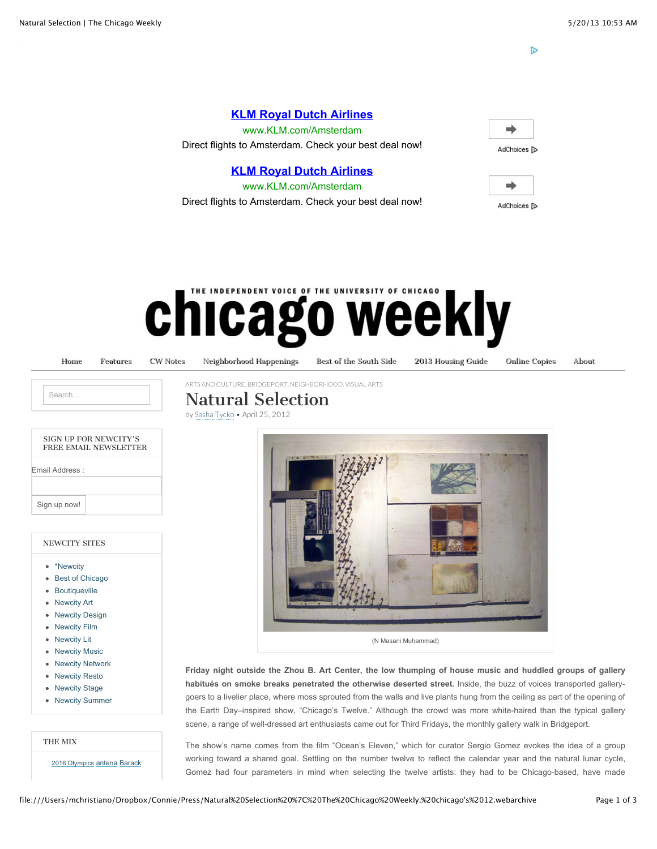D

#### **[KLM Royal Dutch Airlines](http://www.googleadservices.com/pagead/aclk?sa=L&ai=C9x99Xn2WUaG2HLPWwQHZmIDoAcHFtI4D-djZwVWZjffttwEQASCQx4ICUKWw8_cHYMmG_4fwo-wSoAGPuuXeA8gBAakC59AlAUqBtT7gAgCoAwHIA58EqgSuAU_QAnsh-rvvDfXtDp8ozzqJcNxddsEt4_8pPq2vorJ98dzhmNcV3Ll80nmJIZhp56tCTcBt52ZQEm17Ic8EKrMpt3cSeWMsJhtPOOTD9L73_hEkYt1VWEkVg8uzT176PAPafhXq7bpOZ7uUxt8MCpDx0KOMGU_iXxoJK8DnaJ26hSonlKr4TISMQPuPsHV7YIwuHIz1cu5qKvI5A-u-vNJl5NMLCKSiLSebuJXWJeAEAYgGAYAH2cWaIQ&num=1&cid=5GirlOfl3MgtTUoWOIx9pyME&sig=AOD64_3-563t43QOkEt514SfAbkdbCeEKg&client=ca-pub-4008688672025528&adurl=http://ad.doubleclick.net/clk%3B232908755%3B56808582%3Bw%3Bu%3D()nil%7C%7BAdGroup%7D%7C%7BCampaign%7D%3Fhttp://www.klm.com/travel/us_en/plan_and_book/special_offers/act/index.htm%3Fdest%3DAMS%26WT.mc_id%3D2229766%7C3501542%7C56808582%7C232908755%7C359228%26WT.srch%3D1&nm=1)**

www.KLM.com/Amsterdam Direct flights to Amsterdam. Check your best deal now!

#### **[KLM Royal Dutch Airlines](http://www.googleadservices.com/pagead/aclk?sa=L&ai=C9x99Xn2WUaG2HLPWwQHZmIDoAcHFtI4D-djZwVWZjffttwEQASCQx4ICUKWw8_cHYMmG_4fwo-wSoAGPuuXeA8gBAakC59AlAUqBtT7gAgCoAwHIA58EqgSuAU_QAnsh-rvvDfXtDp8ozzqJcNxddsEt4_8pPq2vorJ98dzhmNcV3Ll80nmJIZhp56tCTcBt52ZQEm17Ic8EKrMpt3cSeWMsJhtPOOTD9L73_hEkYt1VWEkVg8uzT176PAPafhXq7bpOZ7uUxt8MCpDx0KOMGU_iXxoJK8DnaJ26hSonlKr4TISMQPuPsHV7YIwuHIz1cu5qKvI5A-u-vNJl5NMLCKSiLSebuJXWJeAEAYgGAYAH2cWaIQ&num=1&cid=5GirlOfl3MgtTUoWOIx9pyME&sig=AOD64_3-563t43QOkEt514SfAbkdbCeEKg&client=ca-pub-4008688672025528&adurl=http://ad.doubleclick.net/clk%3B232908755%3B56808582%3Bw%3Bu%3D()nil%7C%7BAdGroup%7D%7C%7BCampaign%7D%3Fhttp://www.klm.com/travel/us_en/plan_and_book/special_offers/act/index.htm%3Fdest%3DAMS%26WT.mc_id%3D2229766%7C3501542%7C56808582%7C232908755%7C359228%26WT.srch%3D1)**

www.KLM.com/Amsterdam Direct flights to Amsterdam. Check your best deal now!

| . .<br>r.<br>ישו |  |
|------------------|--|



# **IE INDEPENDENT VOICE OF THE UNIVERSITY OF CHICAGO** chicago weekly

[Home](http://chicagoweekly.net/) [Features](http://chicagoweekly.net/category/features/) [CW Notes](http://chicagoweekly.net/cwnotes/) [Neighborhood Happenings](http://chicagoweekly.net/neighborhood-happenings/) [Best of the South Side](http://chicagoweekly.net/best-of-the-south-side/) [2013 Housing Guide](http://chicagoweekly.net/2012-housing-guide/) [Online Copies](http://chicagoweekly.net/online-copies/) [About](http://chicagoweekly.net/about/)

Search.

## [ARTS AND CULTURE,](http://chicagoweekly.net/category/arts-and-culture/) [BRIDGEPORT](http://chicagoweekly.net/category/neighborhood/bridgeport-neighborhood/), [NEIGHBORHOOD,](http://chicagoweekly.net/category/neighborhood/) [VISUAL ARTS](http://chicagoweekly.net/category/arts-and-culture/visual-arts/) Natural Selection

by [Sasha Tycko](http://chicagoweekly.net/author/sasha-tycko/) • April 25, 2012

| SIGN UP FOR NEWCITY'S<br>FREE EMAIL NEWSLETTER |  |  |
|------------------------------------------------|--|--|
| Email Address:                                 |  |  |
|                                                |  |  |
| Sign up now!                                   |  |  |

#### NEWCITY SITES

- [\\*Newcity](http://newcity.com/)
- [Best of Chicago](http://best.newcity.com/)
- [Boutiqueville](http://boutiqueville.com/)
- [Newcity Art](http://art.newcity.com/)
- [Newcity Design](http://design.newcity.com/)
- [Newcity Film](http://newcityfilm.com/)
- [Newcity Lit](http://lit.newcity.com/)
- [Newcity Music](http://music.newcity.com/)
- [Newcity Network](http://newcitynetwork.com/)
- [Newcity Resto](http://newcityresto.com/)
- [Newcity Stage](http://newcitystage.com/)
- [Newcity Summer](http://summer.newcity.com/)

THE MIX

[2016 Olympics](http://chicagoweekly.net/tag/barack-obama/) [antena](http://chicagoweekly.net/tag/antena/) Barack



**Friday night outside the Zhou B. Art Center, the low thumping of house music and huddled groups of gallery habitués on smoke breaks penetrated the otherwise deserted street.** Inside, the buzz of voices transported gallerygoers to a livelier place, where moss sprouted from the walls and live plants hung from the ceiling as part of the opening of the Earth Day–inspired show, "Chicago's Twelve." Although the crowd was more white-haired than the typical gallery scene, a range of well-dressed art enthusiasts came out for Third Fridays, the monthly gallery walk in Bridgeport.

The show's name comes from the film "Ocean's Eleven," which for curator Sergio Gomez evokes the idea of a group working toward a shared goal. Settling on the number twelve to reflect the calendar year and the natural lunar cycle, Gomez had four parameters in mind when selecting the twelve artists: they had to be Chicago-based, have made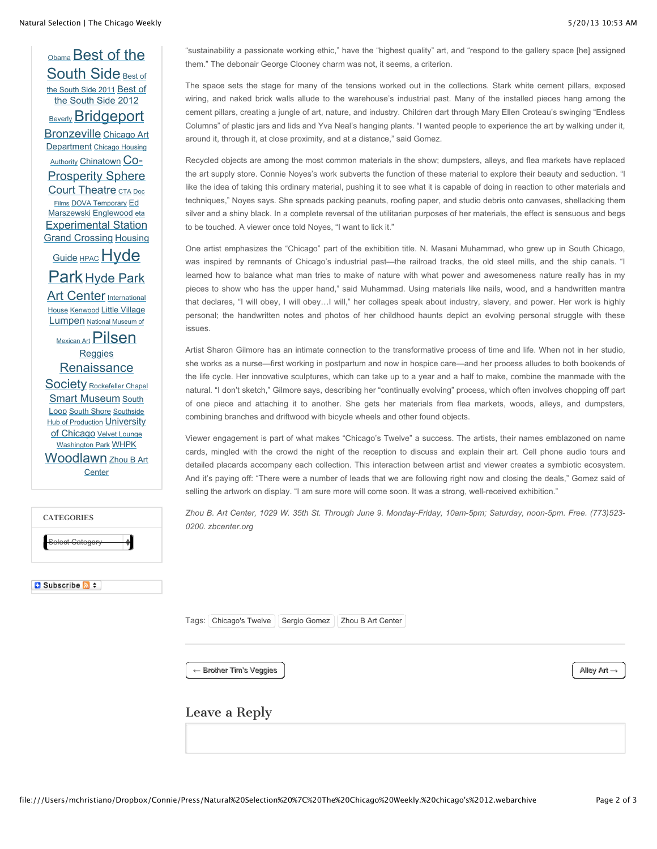[O](http://chicagoweekly.net/tag/best-of-the-south-side/)[bama](http://chicagoweekly.net/tag/barack-obama/) [Best of the](http://chicagoweekly.net/tag/best-of-the-south-side/) [South Side](http://chicagoweekly.net/tag/best-of-the-south-side-2011/) Best of the South Side 2011 Best of [the South Side 2012](http://chicagoweekly.net/tag/best-of-the-south-side-2012/) [Beverly](http://chicagoweekly.net/tag/beverly/) **[Bridgeport](http://chicagoweekly.net/tag/bridgeport/)** [Bronzeville](http://chicagoweekly.net/tag/bronzeville/) Chicago Art **Department [Chicago Housing](http://chicagoweekly.net/tag/chicago-housing-authority/)** Authority [Chinatown](http://chicagoweekly.net/tag/chinatown/) Co-**[Prosperity Sphere](http://chicagoweekly.net/tag/co-prosperity-sphere/)** [Court Theatre](http://chicagoweekly.net/tag/court-theatre/) [CTA](http://chicagoweekly.net/tag/cta/) Doc Films [DOVA Temporary](http://chicagoweekly.net/tag/ed-marszewski/) Ed Marszewski [Englewood](http://chicagoweekly.net/tag/englewood/) [eta](http://chicagoweekly.net/tag/eta/) [Experimental Station](http://chicagoweekly.net/tag/experimental-station/) [Grand Crossing](http://chicagoweekly.net/tag/grand-crossing/) Housing Guide [HPAC](http://chicagoweekly.net/tag/hpac/) Hyde Park [Hyde Park](http://chicagoweekly.net/tag/hyde-park/) Art Center Internationa[l](http://chicagoweekly.net/tag/international-house/) House [Kenwood](http://chicagoweekly.net/tag/kenwood/) [Little Village](http://chicagoweekly.net/tag/little-village/) [Lumpen](http://chicagoweekly.net/tag/lumpen/) National Museum of  $M<sub>Mexican</sub>  $Pilsen$$  $M<sub>Mexican</sub>  $Pilsen$$  $M<sub>Mexican</sub>  $Pilsen$$ [Reggies](http://chicagoweekly.net/tag/reggies/) **[Renaissance](http://chicagoweekly.net/tag/renaissance-society/)** Society [Rockefeller Chapel](http://chicagoweekly.net/tag/rockefeller-chapel/) [Smart Museum](http://chicagoweekly.net/tag/smart-museum/) South Loop [South Shore](http://chicagoweekly.net/tag/south-shore/) Southside [Hub of Production](http://chicagoweekly.net/tag/southside-hub-of-production/) University [of Chicago](http://chicagoweekly.net/tag/university-of-chicago/) [Velvet Lounge](http://chicagoweekly.net/tag/velvet-lounge/) [Washington Park](http://chicagoweekly.net/tag/washington-park/) [WHPK](http://chicagoweekly.net/tag/whpk/) [Woodlawn](http://chicagoweekly.net/tag/woodlawn/) [Zhou B Art](http://chicagoweekly.net/tag/zhou-b-art-center/) **Center** 

**B** Subscribe **a** #

"sustainability a passionate working ethic," have the "highest quality" art, and "respond to the gallery space [he] assigned them." The debonair George Clooney charm was not, it seems, a criterion.

The space sets the stage for many of the tensions worked out in the collections. Stark white cement pillars, exposed wiring, and naked brick walls allude to the warehouse's industrial past. Many of the installed pieces hang among the cement pillars, creating a jungle of art, nature, and industry. Children dart through Mary Ellen Croteau's swinging "Endless Columns" of plastic jars and lids and Yva Neal's hanging plants. "I wanted people to experience the art by walking under it, around it, through it, at close proximity, and at a distance," said Gomez.

Recycled objects are among the most common materials in the show; dumpsters, alleys, and flea markets have replaced the art supply store. Connie Noyes's work subverts the function of these material to explore their beauty and seduction. "I like the idea of taking this ordinary material, pushing it to see what it is capable of doing in reaction to other materials and techniques," Noyes says. She spreads packing peanuts, roofing paper, and studio debris onto canvases, shellacking them silver and a shiny black. In a complete reversal of the utilitarian purposes of her materials, the effect is sensuous and begs to be touched. A viewer once told Noyes, "I want to lick it."

One artist emphasizes the "Chicago" part of the exhibition title. N. Masani Muhammad, who grew up in South Chicago, was inspired by remnants of Chicago's industrial past—the railroad tracks, the old steel mills, and the ship canals. "I learned how to balance what man tries to make of nature with what power and awesomeness nature really has in my pieces to show who has the upper hand," said Muhammad. Using materials like nails, wood, and a handwritten mantra that declares, "I will obey, I will obey...I will," her collages speak about industry, slavery, and power. Her work is highly personal; the handwritten notes and photos of her childhood haunts depict an evolving personal struggle with these issues.

Artist Sharon Gilmore has an intimate connection to the transformative process of time and life. When not in her studio, she works as a nurse—first working in postpartum and now in hospice care—and her process alludes to both bookends of the life cycle. Her innovative sculptures, which can take up to a year and a half to make, combine the manmade with the natural. "I don't sketch," Gilmore says, describing her "continually evolving" process, which often involves chopping off part of one piece and attaching it to another. She gets her materials from flea markets, woods, alleys, and dumpsters, combining branches and driftwood with bicycle wheels and other found objects.

Viewer engagement is part of what makes "Chicago's Twelve" a success. The artists, their names emblazoned on name cards, mingled with the crowd the night of the reception to discuss and explain their art. Cell phone audio tours and detailed placards accompany each collection. This interaction between artist and viewer creates a symbiotic ecosystem. And it's paying off: "There were a number of leads that we are following right now and closing the deals," Gomez said of selling the artwork on display. "I am sure more will come soon. It was a strong, well-received exhibition."

*Zhou B. Art Center, 1029 W. 35th St. Through June 9. Monday-Friday, 10am-5pm; Saturday, noon-5pm. Free. (773)523- 0200. zbcenter.org*

Tags: [Chicago's Twelve](http://chicagoweekly.net/tag/chicagos-twelve/) | [Sergio Gomez](http://chicagoweekly.net/tag/sergio-gomez/) | [Zhou B Art Center](http://chicagoweekly.net/tag/zhou-b-art-center/)

 $\leftarrow$  Brother Tim's Veggies  $\left\vert \right. \right\vert$  Alley Art  $\rightarrow$ 

### Leave a Reply